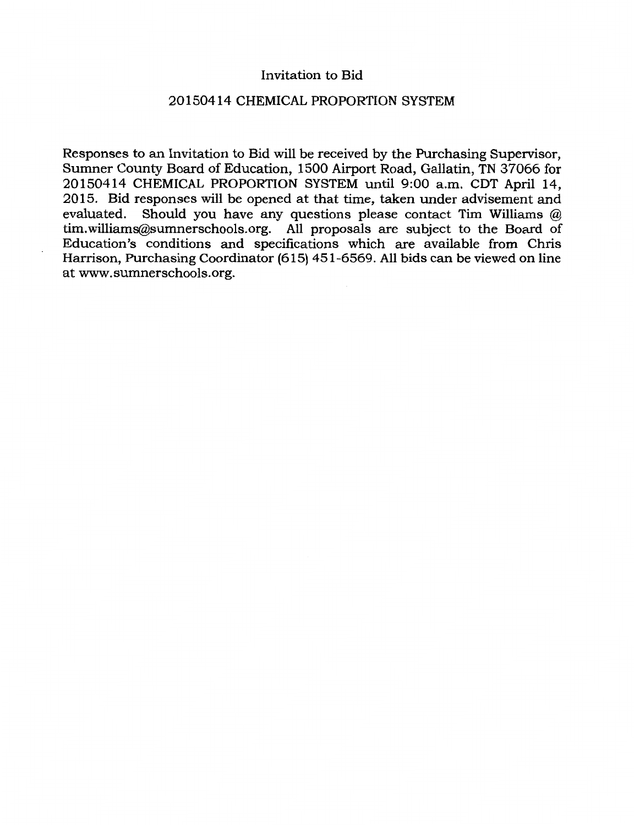#### Invitation to Bid

## 20150414 CHEMICAL PROPORTION SYSTEM

Responses to an Invitation to Bid will be received by the Purchasing Supervisor, Sumner County Board of Education, 1500 Airport Road, Gallatin, TN 37066 for 20150414 CHEMICAL PROPORTION SYSTEM until 9:00 a.m. CDT April 14, 2015. Bid responses will be opened at that time, taken under advisement and evaluated. Should you have any questions please contact Tim Williams @ tim.williams@sumnerschools.org. All proposals are subject to the Board of Education's conditions and specifications which are available from Chris Harrison, Purchasing Coordinator (615) 451-6569. All bids can be viewed on line at www.sumnerschools.org.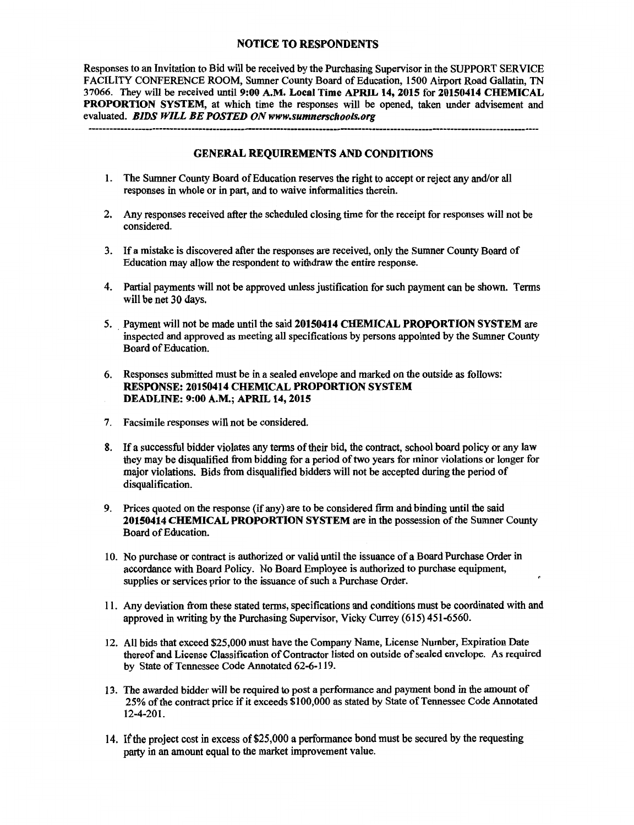#### NOTICE TO RESPONDENTS

Responses to an Invitation to Bid will be received by the Purchasing Supervisor in the SUPPORT SERVICE FACILITY CONFERENCE ROOM, Sumner County Board of Education, 1500 Airport Road Gallatin, TN 37066. They will be received until 9:00 A.M. Local Time APRIL 14, 2015 for 20150414 CHEMICAL PROPORTION SYSTEM, at which time the responses will be opened, taken under advisement and evaluated. *BIDS WILL BE POSTED ON www.sumnerschools.org* 

#### GENERAL REQUIREMENTS AND CONDITIONS

- 1. The Sumner County Board of Education reserves the right to accept or reject any and/or all responses in whole or in part, and to waive informalities therein.
- 2. Any responses received after the scheduled closing time for the receipt for responses will not be considered.
- 3. If a mistake is discovered after the responses are received, only the Sumner County Board of Education may allow the respondent to withdraw the entire response.
- 4. Partial payments will not be approved unless justification for such payment can be shown. Terms will be net 30 days.
- 5. Payment will not be made until the said 20150414 CHEMICAL PROPORTION SYSTEM are inspected and approved as meeting all specifications by persons appointed by the Sumner County Board of Education.
- 6. Responses submitted must be in a sealed envelope and marked on the outside as follows: RESPONSE: 20150414 CHEMICAL PROPORTION SYSTEM DEADLINE: 9:00A.M.; APRIL 14, 2015
- 7. Facsimile responses will not be considered.
- 8. If a successful bidder violates any terms of their bid, the contract, school board policy or any law they may be disqualified from bidding for a period of two years for minor violations or longer for major violations. Bids from disqualified bidders will not be accepted during the period of disqualification.
- 9. Prices quoted on the response (if any) are to be considered firm and binding until the said 20150414 CHEMICAL PROPORTION SYSTEM are in the possession of the Sumner County Board of Education.
- 10. No purchase or contract is authorized or valid until the issuance of a Board Purchase Order in accordance with Board Policy. No Board Employee is authorized to purchase equipment, supplies or services prior to the issuance of such a Purchase Order.
- 11. Any deviation from these stated terms, specifications and conditions must be coordinated with and approved in writing by the Purchasing Supervisor, Vicky Currey (615) 451-6560.
- 12. All bids that exceed \$25,000 must have the Company Name, License Number, Expiration Date thereof and License Classification of Contractor listed on outside of sealed envelope. As required by State of Tennessee Code Annotated 62-6-119.
- 13. The awarded bidder will be required to post a performance and payment bond in the amount of 25% of the contract price if it exceeds \$100,000 as stated by State of Tennessee Code Annotated 12-4-201.
- 14. If the project cost in excess of\$25,000 a performance bond must be secured by the requesting party in an amount equal to the market improvement value.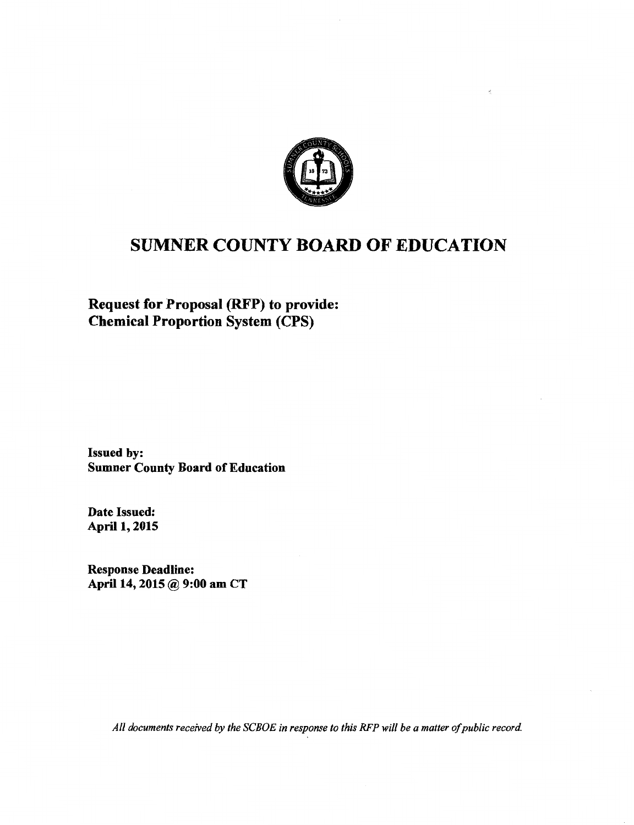

# SUMNER COUNTY BOARD OF EDUCATION

Request for Proposal (RFP) to provide: Chemical Proportion System (CPS)

Issued by: Sumner County Board of Education

Date Issued: April 1, 2015

Response Deadline: April 14, 2015 @ 9:00 am CT

*All documents received by the SCBOE in response to this RFP will be a matter of public record*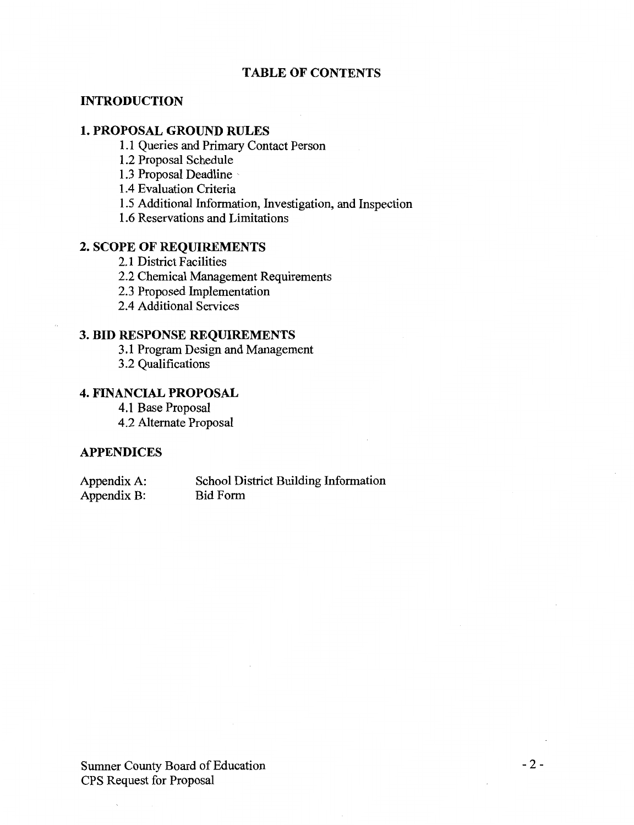#### **TABLE OF CONTENTS**

#### **INTRODUCTION**

#### **1. PROPOSAL GROUND RULES**

- 1.1 Queries and Primary Contact Person
- 1.2 Proposal Schedule
- 1.3 Proposal Deadline
- 1.4 Evaluation Criteria
- 1.5 Additional Information, Investigation, and Inspection
- 1.6 Reservations and Limitations

## **2. SCOPE OF REQUIREMENTS**

- 2.1 District Facilities
- 2.2 Chemical Management Requirements
- 2.3 Proposed Implementation
- 2.4 Additional Services

#### **3. BID RESPONSE REQUIREMENTS**

3.1 Program Design and Management

3.2 Qualifications

### **4. FINANCIAL PROPOSAL**

4.1 Base Proposal 4.2 Alternate Proposal

#### **APPENDICES**

Appendix A: Appendix B: School District Building Information Bid Form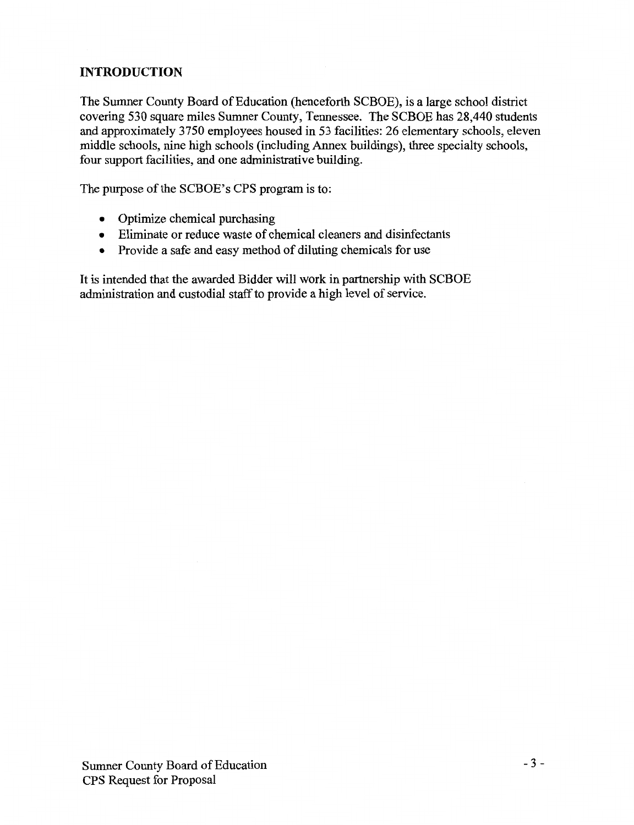## **INTRODUCTION**

The Sumner County Board of Education (henceforth SCBOE), is a large school district covering 530 square miles Sumner County, Tennessee. The SCBOE has 28,440 students and approximately 3750 employees housed in 53 facilities: 26 elementary schools, eleven middle schools, nine high schools (including Annex buildings), three specialty schools, four support facilities, and one administrative building.

The purpose of the SCBOE's CPS program is to:

- Optimize chemical purchasing
- Eliminate or reduce waste of chemical cleaners and disinfectants
- Provide a safe and easy method of diluting chemicals for use

It is intended that the awarded Bidder will work in partnership with SCBOE administration and custodial staff to provide a high level of service.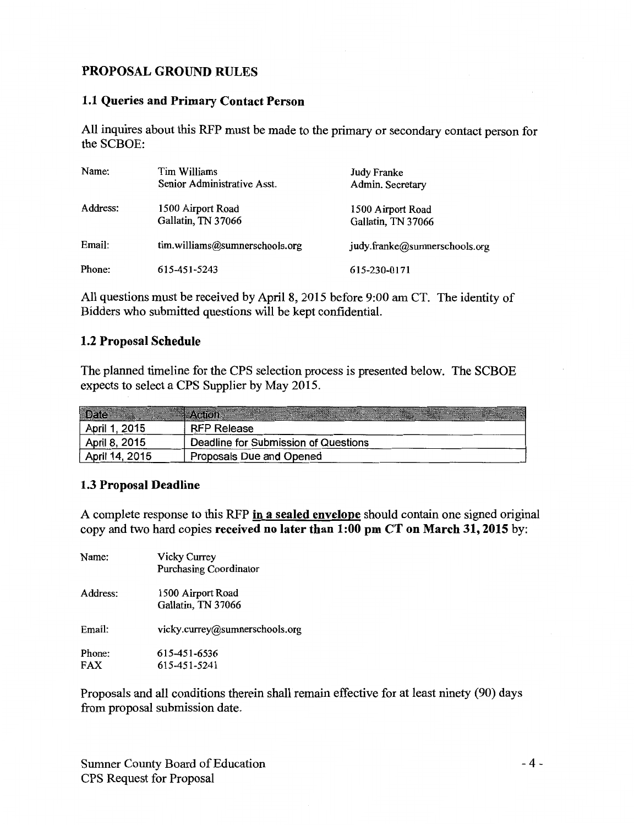## **PROPOSAL GROUND RULES**

#### **1.1 Queries and Primary Contact Person**

All inquires about this RFP must be made to the primary or secondary contact person for the SCBOE:

| Name:    | Tim Williams<br>Senior Administrative Asst. | Judy Franke<br>Admin. Secretary         |
|----------|---------------------------------------------|-----------------------------------------|
| Address: | 1500 Airport Road<br>Gallatin, TN 37066     | 1500 Airport Road<br>Gallatin, TN 37066 |
| Email:   | tim.williams@sumnerschools.org              | judy.franke@sumnerschools.org           |
| Phone:   | 615-451-5243                                | 615-230-0171                            |

All questions must be received by April 8, 2015 before 9:00 am CT. The identity of Bidders who submitted questions will be kept confidential.

#### **1.2 Proposal Schedule**

The planned timeline for the CPS selection process is presented below. The SCBOE expects to select a CPS Supplier by May 2015.

| April 1, 2015  | <b>RFP Release</b>                   |
|----------------|--------------------------------------|
| April 8, 2015  | Deadline for Submission of Questions |
| April 14, 2015 | Proposals Due and Opened             |

#### **1.3 Proposal Deadline**

A complete response to this RFP **in a sealed envelope** should contain one signed original copy and two hard copies **received no later than 1:00 pm CT on March 31, 2015** by:

| Name:                | Vicky Currey<br><b>Purchasing Coordinator</b> |  |  |  |
|----------------------|-----------------------------------------------|--|--|--|
| Address:             | 1500 Airport Road<br>Gallatin, TN 37066       |  |  |  |
| Email:               | vicky.currey@sumnerschools.org                |  |  |  |
| Phone:<br><b>FAX</b> | 615-451-6536<br>615-451-5241                  |  |  |  |

Proposals and all conditions therein shall remain effective for at least ninety (90) days from proposal submission date.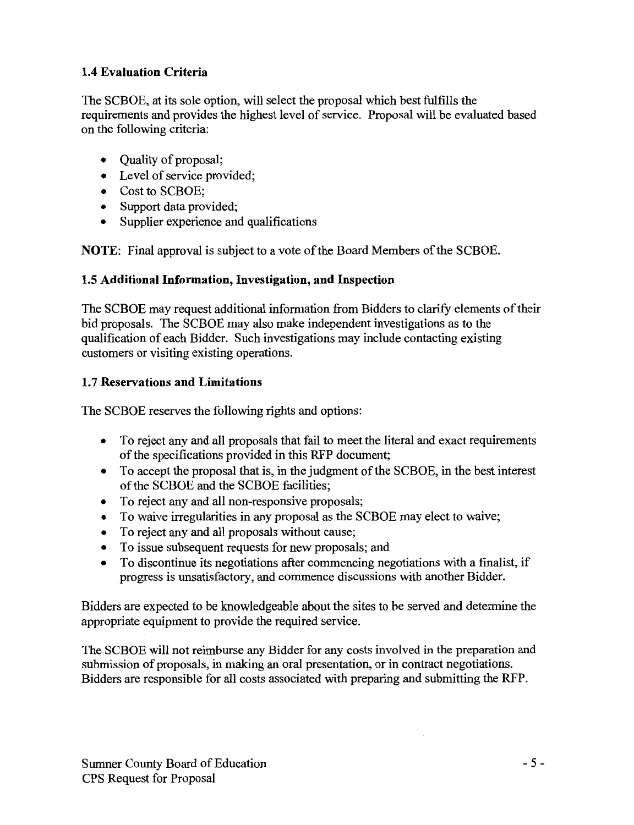## **1.4 Evaluation Criteria**

The SCBOE, at its sole option, will select the proposal which best fulfills the requirements and provides the highest level of service. Proposal will be evaluated based on the following criteria:

- Quality of proposal;
- Level of service provided:
- Cost to SCBOE;
- Support data provided;
- Supplier experience and qualifications

**NOTE:** Final approval is subject to a vote of the Board Members of the SCBOE.

## **1.5 Additional Information, Investigation, and Inspection**

The SCBOE may request additional information from Bidders to clarify elements of their bid proposals. The SCBOE may also make independent investigations as to the qualification of each Bidder. Such investigations may include contacting existing customers or visiting existing operations.

## **1. 7 Reservations and Limitations**

The SCBOE reserves the following rights and options:

- To reject any and all proposals that fail to meet the literal and exact requirements of the specifications provided in this RFP document;
- To accept the proposal that is, in the judgment of the SCBOE, in the best interest of the SCBOE and the SCBOE facilities;
- To reject any and all non-responsive proposals;
- To waive irregularities in any proposal as the SCBOE may elect to waive;
- To reject any and all proposals without cause;
- To issue subsequent requests for new proposals; and
- To discontinue its negotiations after commencing negotiations with a finalist, if progress is unsatisfactory, and commence discussions with another Bidder.

Bidders are expected to be knowledgeable about the sites to be served and determine the appropriate equipment to provide the required service.

The SCBOE will not reimburse any Bidder for any costs involved in the preparation and submission of proposals, in making an oral presentation, or in contract negotiations. Bidders are responsible for all costs associated with preparing and submitting the RFP.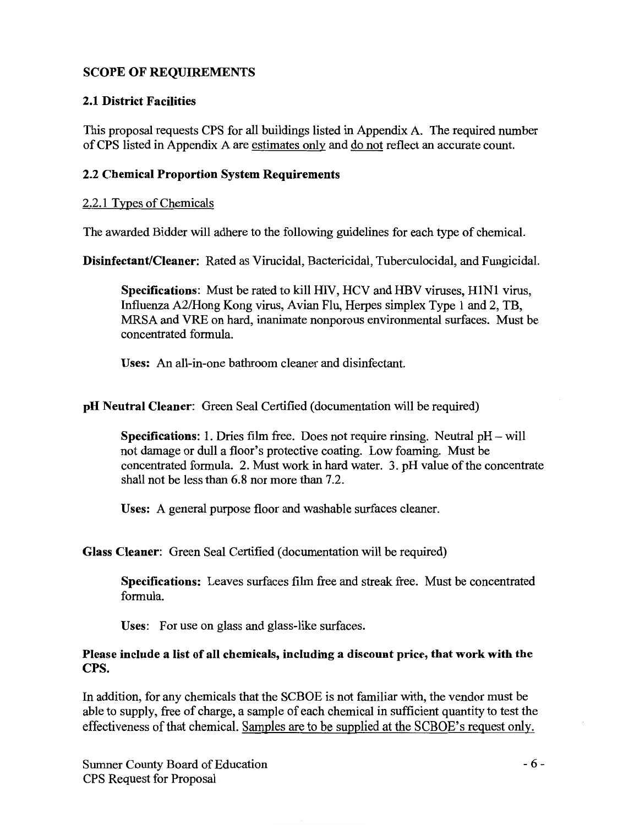## SCOPE OF REQUIREMENTS

## 2.1 District Facilities

This proposal requests CPS for all buildings listed in Appendix A. The required number of CPS listed in Appendix A are estimates only and do not reflect an accurate count.

## 2.2 Chemical Proportion System Requirements

## 2.2.1 Types of Chemicals

The awarded Bidder will adhere to the following guidelines for each type of chemical.

Disinfectant/Cleaner: Rated as Virucidal, Bactericidal, Tuberculocidal, and Fungicidal.

Specifications: Must be rated to kill HIV, HCV and HBV viruses, HlNl virus, Influenza A2/Hong Kong virus, Avian Flu, Herpes simplex Type 1 and 2, TB, MRSA and VRE on hard, inanimate nonporous environmental surfaces. Must be concentrated formula.

Uses: An ali-in-one bathroom cleaner and disinfectant.

## pH Neutral Cleaner: Green Seal Certified (documentation will be required)

Specifications: 1. Dries film free. Does not require rinsing. Neutral pH- will not damage or dull a floor's protective coating. Low foaming. Must be concentrated formula. 2. Must work in hard water. 3. pH value of the concentrate shall not be less than 6.8 nor more than 7.2.

Uses: A general purpose floor and washable surfaces cleaner.

## Glass Cleaner: Green Seal Certified (documentation will be required)

Specifications: Leaves surfaces film free and streak free. Must be concentrated formula.

Uses: For use on glass and glass-like surfaces.

### Please include a list of all chemicals, including a discount price, that work with the CPS.

In addition, for any chemicals that the SCBOE is not familiar with, the vendor must be able to supply, free of charge, a sample of each chemical in sufficient quantity to test the effectiveness of that chemical. Samples are to be supplied at the SCBOE's request only.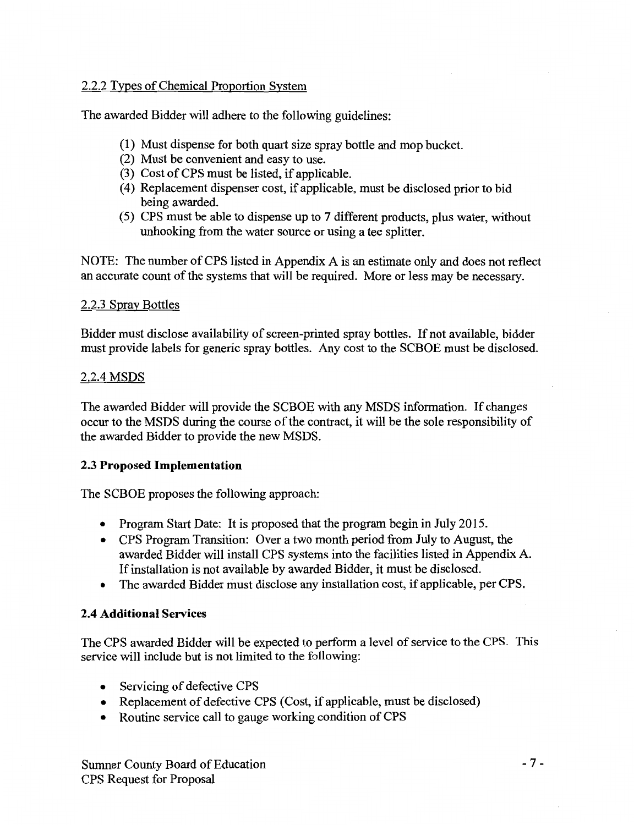## 2.2.2 Types of Chemical Proportion System

The awarded Bidder will adhere to the following guidelines:

- (1) Must dispense for both quart size spray bottle and mop bucket.
- (2) Must be convenient and easy to use.
- (3) Cost of CPS must be listed, if applicable.
- ( 4) Replacement dispenser cost, if applicable, must be disclosed prior to bid being awarded.
- (5) CPS must be able to dispense up to 7 different products, plus water, without unhooking from the water source or using a tee splitter.

NOTE: The number of CPS listed in Appendix A is an estimate only and does not reflect an accurate count of the systems that will be required. More or less may be necessary.

## 2.2.3 Spray Bottles

Bidder must disclose availability of screen-printed spray bottles. If not available, bidder must provide labels for generic spray bottles. Any cost to the SCBOE must be disclosed.

## 2.2.4 MSDS

The awarded Bidder will provide the SCBOE with any MSDS information. If changes occur to the MSDS during the course of the contract, it will be the sole responsibility of the awarded Bidder to provide the new MSDS.

## 2.3 **Proposed Implementation**

The SCBOE proposes the following approach:

- Program Start Date: It is proposed that the program begin in July 2015.
- CPS Program Transition: Over a two month period from July to August, the awarded Bidder will install CPS systems into the facilities listed in Appendix A. If installation is not available by awarded Bidder, it must be disclosed.
- The awarded Bidder must disclose any installation cost, if applicable, per CPS.

## **2.4 Additional** Services

The CPS awarded Bidder will be expected to perform a level of service to the CPS. This service will include but is not limited to the following:

- Servicing of defective CPS
- Replacement of defective CPS (Cost, if applicable, must be disclosed)
- Routine service call to gauge working condition of CPS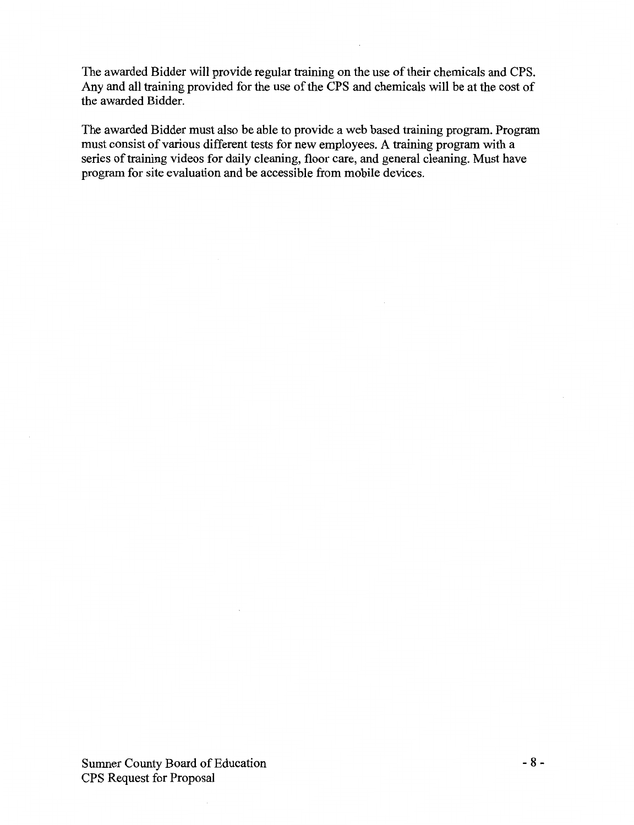The awarded Bidder will provide regular training on the use of their chemicals and CPS. Any and all training provided for the use of the CPS and chemicals will be at the cost of the awarded Bidder.

The awarded Bidder must also be able to provide a web based training program. Program must consist of various different tests for new employees. A training program with a series of training videos for daily cleaning, floor care, and general cleaning. Must have program for site evaluation and be accessible from mobile devices.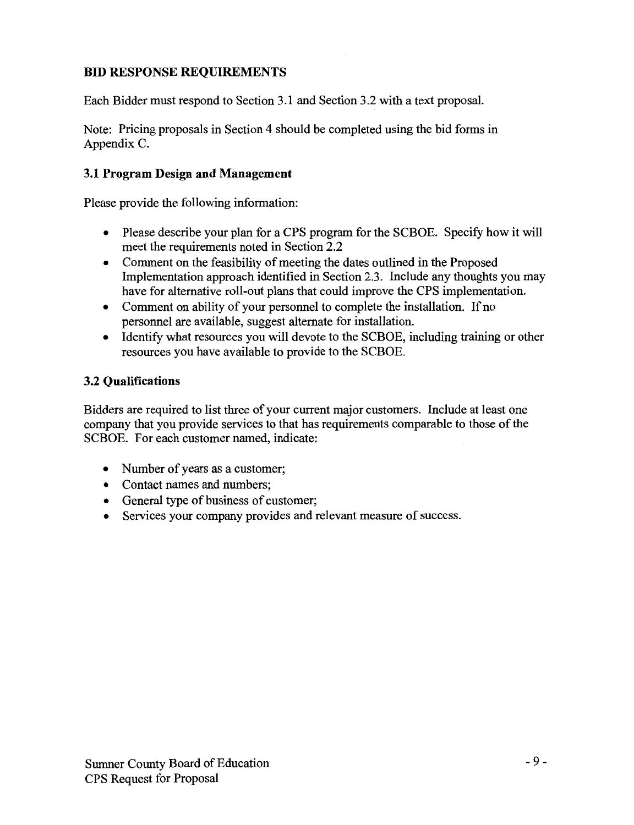## **BID RESPONSE REQUIREMENTS**

Each Bidder must respond to Section 3.1 and Section 3.2 with a text proposal.

Note: Pricing proposals in Section 4 should be completed using the bid forms in Appendix C.

## **3.1 Program Design and Management**

Please provide the following information:

- Please describe your plan for a CPS program for the SCBOE. Specify how it will meet the requirements noted in Section 2.2
- Comment on the feasibility of meeting the dates outlined in the Proposed Implementation approach identified in Section 2.3. Include any thoughts you may have for alternative roll-out plans that could improve the CPS implementation.
- Comment on ability of your personnel to complete the installation. If no personnel are available, suggest alternate for installation.
- Identify what resources you will devote to the SCBOE, including training or other resources you have available to provide to the SCBOE.

## **3.2 Qualifications**

Bidders are required to list three of your current major customers. Include at least one company that you provide services to that has requirements comparable to those of the SCBOE. For each customer named, indicate:

- Number of years as a customer;
- Contact names and numbers;
- General type of business of customer;
- Services your company provides and relevant measure of success.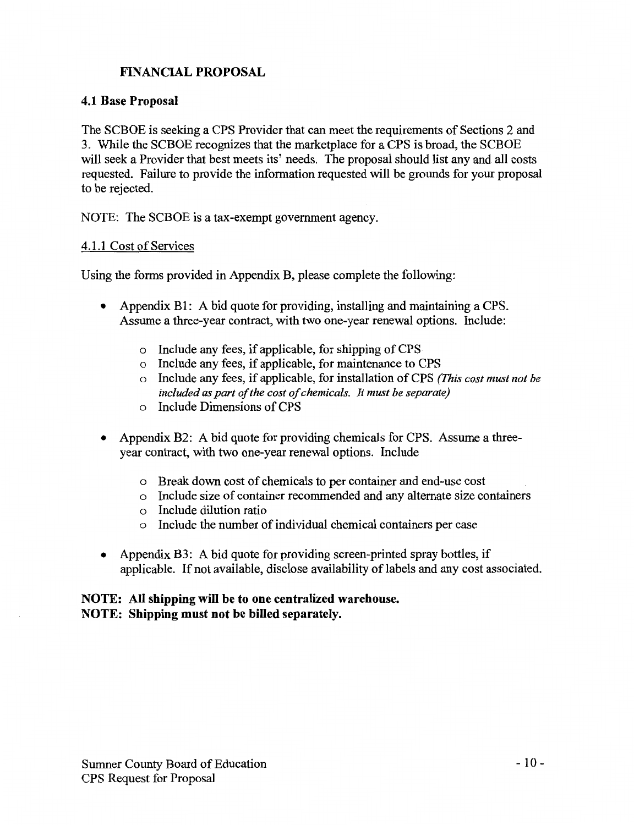## FINANCIAL PROPOSAL

## 4.1 Base Proposal

The SCBOE is seeking a CPS Provider that can meet the requirements of Sections 2 and 3. While the SCBOE recognizes that the marketplace for a CPS is broad, the SCBOE will seek a Provider that best meets its' needs. The proposal should list any and all costs requested. Failure to provide the information requested will be grounds for your proposal to be rejected.

NOTE: The SCBOE is a tax-exempt government agency.

## 4.1.1 Cost of Services

Using the forms provided in Appendix B, please complete the following:

- Appendix B1: A bid quote for providing, installing and maintaining a CPS. Assume a three-year contract, with two one-year renewal options. Include:
	- o Include any fees, if applicable, for shipping of CPS
	- o Include any fees, if applicable, for maintenance to CPS
	- o Include any fees, if applicable, for installation of CPS *(This cost must not be included as part of the cost of chemicals. It must be separate)*
	- o Include Dimensions of CPS
- Appendix B2: A bid quote for providing chemicals for CPS. Assume a threeyear contract, with two one-year renewal options. Include
	- o Break down cost of chemicals to per container and end-use cost
	- o Include size of container recommended and any alternate size containers
	- o Include dilution ratio
	- o Include the number of individual chemical containers per case
- Appendix B3: A bid quote for providing screen-printed spray bottles, if applicable. If not available, disclose availability of labels and any cost associated.

## NOTE: All shipping will be to one centralized warehouse. NOTE: Shipping must not be billed separately.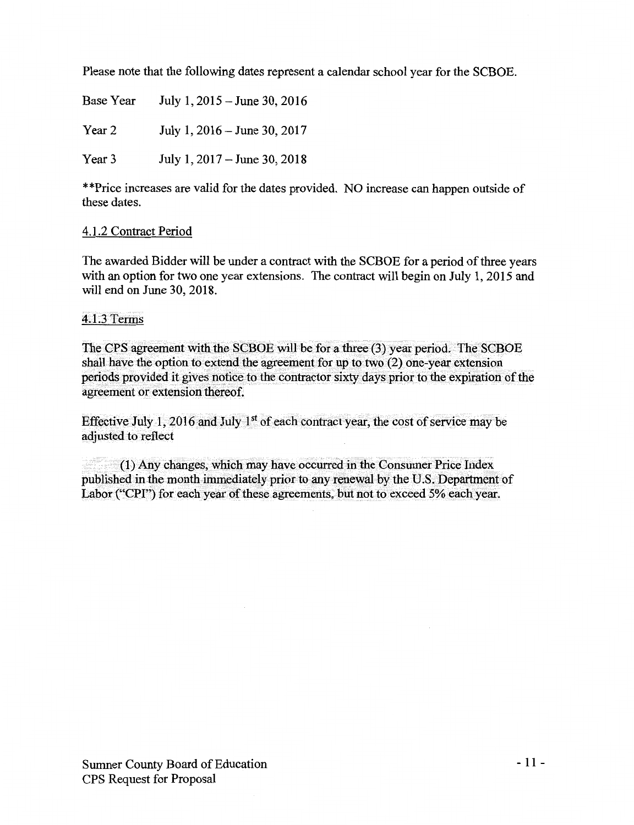Please note that the following dates represent a calendar school year for the SCBOE.

Base Year July 1, 2015- June 30, 2016 Year 2 July 1, 2016 – June 30, 2017 Year 3 July 1, 2017 – June 30, 2018

\*\*Price increases are valid for the dates provided. NO increase can happen outside of these dates.

### 4.1.2 Contract Period

The awarded Bidder will be under a contract with the SCBOE for a period of three years with an option for two one year extensions. The contract will begin on July 1, 2015 and will end on June 30, 2018.

#### 4.L3 Terms

The CPS agreement with the SCBOE will be for a three (3) year period. The SCBOE shall have the option to extend the agreement for up to two (2) one-year extension periods provided it gives notice to the contractor sixty daysprior to the expiration of the agreement or extension thereof.

Effective July 1, 2016 and July  $1<sup>st</sup>$  of each contract year, the cost of service may be adjusted to reflect

(1) Any changes, which may have occurred in the Consumer Price Index published in the month immediately prior to any renewal by the U.S. Department of Labor ("CPI") for each year of these agreements, but not to exceed 5% each year.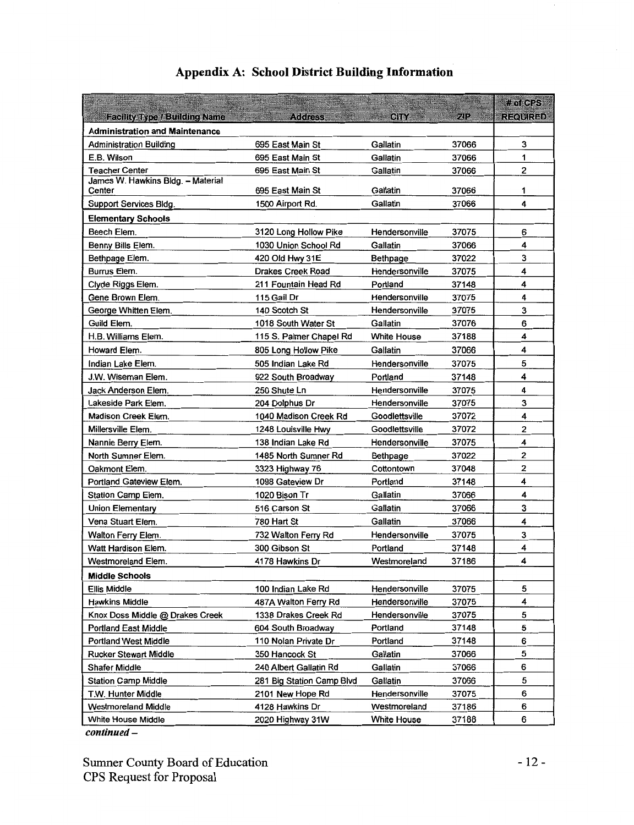|                                       |                           |                                  |       | # of CPS        |
|---------------------------------------|---------------------------|----------------------------------|-------|-----------------|
| <b>Facility Type / Building Name</b>  | Address                   | CITY OF                          | ZP    | <b>REQUIRED</b> |
| <b>Administration and Maintenance</b> |                           |                                  |       |                 |
| <b>Administration Building</b>        | 695 East Main St          | Gallatin                         | 37066 | 3               |
| E.B. Wilson                           | 695 East Main St          | Gallatin                         | 37066 | 1               |
| <b>Teacher Center</b>                 | 695 East Main St          | Gallatin                         | 37066 | 2               |
| James W. Hawkins Bldg. - Material     |                           |                                  | 37066 | 1               |
| Center                                | 695 East Main St          | Gallatin<br>Gallatin             | 37066 | 4               |
| Support Services Bldg.                | 1500 Airport Rd.          |                                  |       |                 |
| <b>Elementary Schools</b>             |                           |                                  |       |                 |
| Beech Elem.                           | 3120 Long Hollow Pike     | Hendersonville                   | 37075 | 6               |
| Benny Bills Elem.                     | 1030 Union School Rd      | Gallatin                         | 37066 | 4               |
| Bethpage Elem.                        | 420 Old Hwy 31E           | <b>Bethpage</b>                  | 37022 | 3<br>4          |
| Burrus Elem.                          | Drakes Creek Road         | Hendersonville                   | 37075 | 4               |
| Clyde Riggs Elem.                     | 211 Fountain Head Rd      | Portland                         | 37148 | 4               |
| Gene Brown Elem.                      | 115 Gail Dr               | Hendersonville<br>Hendersonville | 37075 | 3               |
| George Whitten Elem.                  | 140 Scotch St             |                                  | 37075 | 6               |
| Guild Elem.                           | 1018 South Water St       | Gallatin                         | 37076 | 4               |
| H.B. Williams Elem.                   | 115 S. Palmer Chapel Rd   | <b>White House</b>               | 37188 |                 |
| Howard Elem.                          | 805 Long Hollow Pike      | Gallatin                         | 37066 | 4               |
| Indian Lake Elem.                     | 505 Indian Lake Rd        | Hendersonville                   | 37075 | 5               |
| J.W. Wiseman Elem.                    | 922 South Broadway        | Portland                         | 37148 | 4               |
| Jack Anderson Elem.                   | 250 Shute Ln              | Hendersonville                   | 37075 | 4               |
| Lakeside Park Elem.                   | 204 Dolphus Dr            | Hendersonville                   | 37075 | 3               |
| Madison Creek Elem.                   | 1040 Madison Creek Rd     | Goodlettsville                   | 37072 | 4               |
| Millersville Elem.                    | 1248 Louisville Hwy       | Goodlettsville                   | 37072 | 2               |
| Nannie Berry Elem.                    | 138 Indian Lake Rd        | Hendersonville                   | 37075 | 4               |
| North Sumner Elem.                    | 1485 North Sumner Rd      | Bethpage                         | 37022 | 2<br>2          |
| Oakmont Elem.                         | 3323 Highway 76           | Cottontown                       | 37048 | 4               |
| Portland Gateview Elem.               | 1098 Gateview Dr          | Portland                         | 37148 | 4               |
| Station Camp Elem.                    | 1020 Bison Tr             | Gallatin                         | 37066 | 3               |
| <b>Union Elementary</b>               | 516 Carson St             | Gallatin                         | 37066 | 4               |
| Vena Stuart Elem.                     | 780 Hart St               | Gallatin                         | 37066 |                 |
| Walton Ferry Elem.                    | 732 Walton Ferry Rd       | Hendersonville                   | 37075 | 3<br>4          |
| Watt Hardison Elem.                   | 300 Gibson St             | Portland                         | 37148 | 4               |
| Westmoreland Elem.                    | 4178 Hawkins Dr           | Westmoreland                     | 37186 |                 |
| <b>Middle Schools</b>                 |                           |                                  |       |                 |
| Ellis Middle                          | 100 Indian Lake Rd        | Hendersonville                   | 37075 | 5               |
| <b>Hawkins Middle</b>                 | 487A Walton Ferry Rd      | Hendersonville                   | 37075 | 4               |
| Knox Doss Middle @ Drakes Creek       | 1338 Drakes Creek Rd      | Hendersonville                   | 37075 | 5               |
| <b>Portland East Middle</b>           | 604 South Broadway        | Portland                         | 37148 | 5               |
| <b>Portland West Middle</b>           | 110 Nolan Private Dr      | Portland                         | 37148 | 6               |
| <b>Rucker Stewart Middle</b>          | 350 Hancock St            | Gallatin                         | 37066 | 5               |
| Shafer Middle                         | 240 Albert Gallatin Rd    | Gallatin                         | 37066 | 6               |
| <b>Station Camp Middle</b>            | 281 Big Station Camp Blvd | Gallatin                         | 37066 | 5               |
| T.W. Hunter Middle                    | 2101 New Hope Rd          | Hendersonville                   | 37075 | 6               |
| <b>Westmoreland Middle</b>            | 4128 Hawkins Dr           | Westmoreland                     | 37186 | 6               |
| White House Middle                    | 2020 Highway 31W          | <b>White House</b>               | 37188 | 6               |

## **Appendix A: School District Building Information**

*continued-*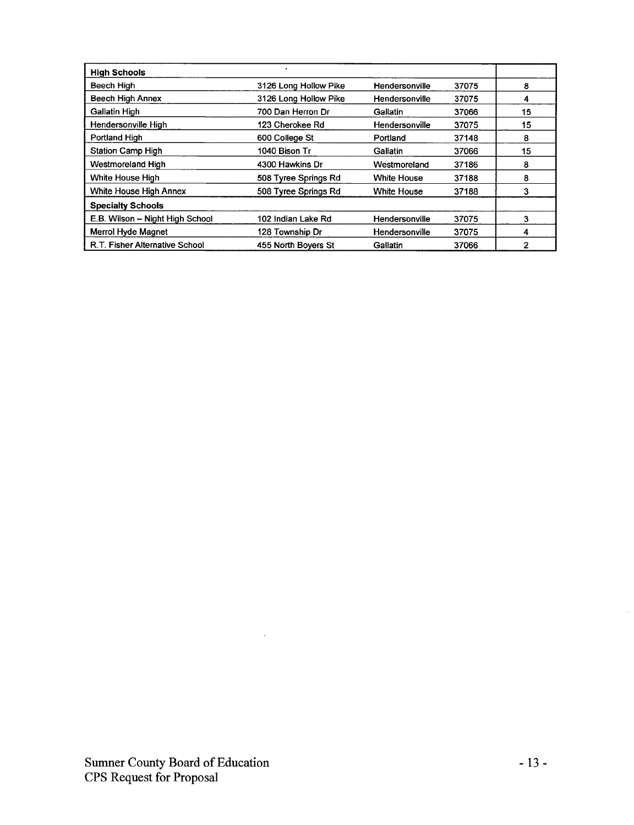| <b>High Schools</b>             |                       |                    |       |    |
|---------------------------------|-----------------------|--------------------|-------|----|
| Beech High                      | 3126 Long Hollow Pike | Hendersonville     | 37075 | 8  |
| <b>Beech High Annex</b>         | 3126 Long Hollow Pike | Hendersonville     | 37075 | 4  |
| <b>Gallatin High</b>            | 700 Dan Herron Dr     | <b>Gallatin</b>    | 37066 | 15 |
| Hendersonville High             | 123 Cherokee Rd       | Hendersonville     | 37075 | 15 |
| Portland High                   | 600 College St        | Portland           | 37148 | 8  |
| <b>Station Camp High</b>        | 1040 Bison Tr         | Gallatin           | 37066 | 15 |
| Westmoreland High               | 4300 Hawkins Dr       | Westmoreland       | 37186 | 8  |
| White House High                | 508 Tyree Springs Rd  | <b>White House</b> | 37188 | 8  |
| <b>White House High Annex</b>   | 508 Tyree Springs Rd  | <b>White House</b> | 37188 | 3  |
| <b>Specialty Schools</b>        |                       |                    |       |    |
| E.B. Wilson - Night High School | 102 Indian Lake Rd    | Hendersonville     | 37075 | 3  |
| Merrol Hyde Magnet              | 128 Township Dr       | Hendersonville     | 37075 | 4  |
| R.T. Fisher Alternative School  | 455 North Bovers St   | Gallatin           | 37066 | 2  |

 $\ddot{\phantom{a}}$ 

 $\bar{z}$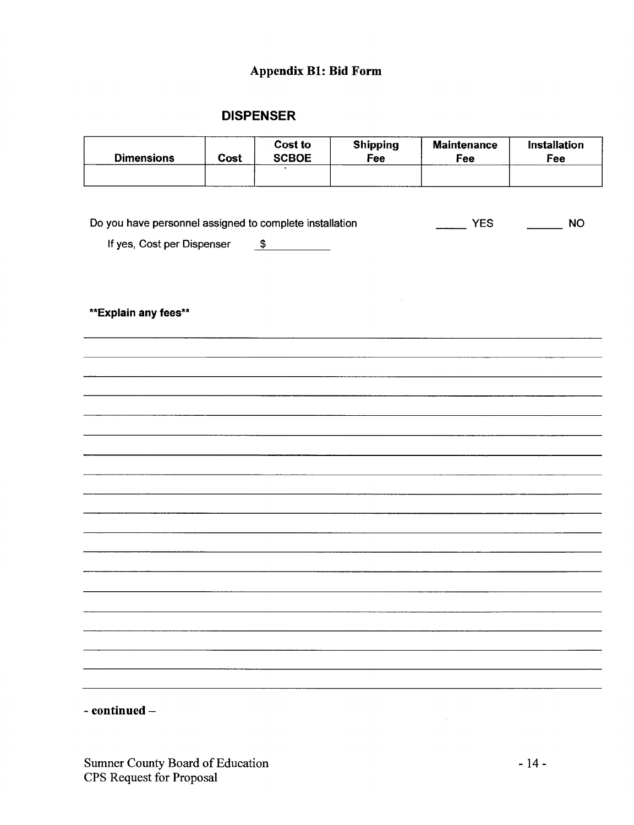## Appendix Bl: Bid Form

## DISPENSER

| <b>Dimensions</b>                                       | Cost | Cost to<br><b>SCBOE</b> | <b>Shipping</b><br>Fee | <b>Maintenance</b><br>Fee | Installation<br>Fee |
|---------------------------------------------------------|------|-------------------------|------------------------|---------------------------|---------------------|
|                                                         |      |                         |                        |                           |                     |
|                                                         |      |                         |                        |                           |                     |
|                                                         |      |                         |                        | <b>YES</b>                | <b>NO</b>           |
| Do you have personnel assigned to complete installation |      |                         |                        | $\frac{1}{2}$             |                     |
| If yes, Cost per Dispenser                              |      | $\frac{1}{2}$           |                        |                           |                     |
|                                                         |      |                         |                        |                           |                     |
|                                                         |      |                         |                        |                           |                     |
| ** Explain any fees**                                   |      |                         |                        |                           |                     |
|                                                         |      |                         |                        |                           |                     |
|                                                         |      |                         |                        |                           |                     |
|                                                         |      |                         |                        |                           |                     |
|                                                         |      |                         |                        |                           |                     |
|                                                         |      |                         |                        |                           |                     |
|                                                         |      |                         |                        |                           |                     |
|                                                         |      |                         |                        |                           |                     |
|                                                         |      |                         |                        |                           |                     |
|                                                         |      |                         |                        |                           |                     |
|                                                         |      |                         |                        |                           |                     |
|                                                         |      |                         |                        |                           |                     |
|                                                         |      |                         |                        |                           |                     |
|                                                         |      |                         |                        |                           |                     |
|                                                         |      |                         |                        |                           |                     |
|                                                         |      |                         |                        |                           |                     |
|                                                         |      |                         |                        |                           |                     |
|                                                         |      |                         |                        |                           |                     |
|                                                         |      |                         |                        |                           |                     |
|                                                         |      |                         |                        |                           |                     |
|                                                         |      |                         |                        |                           |                     |

- continued -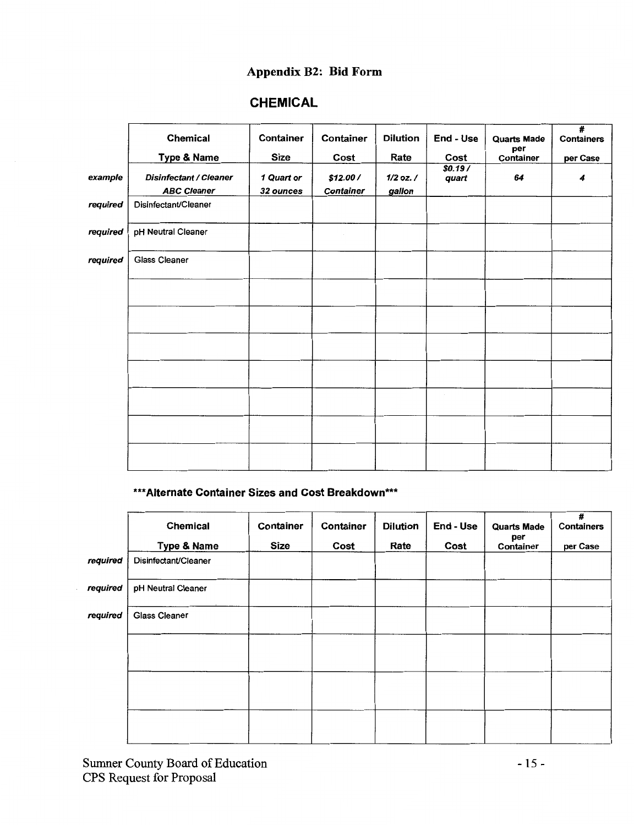## Appendix B2: Bid Form

## CHEMICAL

|          | <b>Chemical</b><br><b>Type &amp; Name</b>           | Container<br><b>Size</b> | Container<br>Cost             | <b>Dilution</b><br>Rate | End - Use<br>Cost | <b>Quarts Made</b><br>per<br>Container | $\overline{\boldsymbol{t}}$<br><b>Containers</b><br>per Case |
|----------|-----------------------------------------------------|--------------------------|-------------------------------|-------------------------|-------------------|----------------------------------------|--------------------------------------------------------------|
| example  | <b>Disinfectant / Cleaner</b><br><b>ABC Cleaner</b> | 1 Quart or<br>32 ounces  | \$12.00 /<br><b>Container</b> | $1/2$ oz. $/$<br>gallon | \$0.19/<br>quart  | 64                                     | 4                                                            |
| required | Disinfectant/Cleaner                                |                          |                               |                         |                   |                                        |                                                              |
| required | pH Neutral Cleaner                                  |                          |                               |                         |                   |                                        |                                                              |
| required | <b>Glass Cleaner</b>                                |                          |                               |                         |                   |                                        |                                                              |
|          |                                                     |                          |                               |                         |                   |                                        |                                                              |
|          |                                                     |                          |                               |                         |                   |                                        |                                                              |
|          |                                                     |                          |                               |                         |                   |                                        |                                                              |
|          |                                                     |                          |                               |                         |                   |                                        |                                                              |
|          |                                                     |                          |                               |                         |                   |                                        |                                                              |
|          |                                                     |                          |                               |                         |                   |                                        |                                                              |
|          |                                                     |                          |                               |                         |                   |                                        |                                                              |

## \*\*\*Alternate Container Sizes and Cost Breakdown\*\*\*

|          | <b>Chemical</b><br><b>Type &amp; Name</b> | Container<br><b>Size</b> | Container<br>Cost | <b>Dilution</b><br>Rate | End - Use<br>Cost | <b>Quarts Made</b><br>per<br>Container | #<br><b>Containers</b><br>per Case |
|----------|-------------------------------------------|--------------------------|-------------------|-------------------------|-------------------|----------------------------------------|------------------------------------|
| required | Disinfectant/Cleaner                      |                          |                   |                         |                   |                                        |                                    |
| required | pH Neutral Cleaner                        |                          |                   |                         |                   |                                        |                                    |
| required | <b>Glass Cleaner</b>                      |                          |                   |                         |                   |                                        |                                    |
|          |                                           |                          |                   |                         |                   |                                        |                                    |
|          |                                           |                          |                   |                         |                   |                                        |                                    |
|          |                                           |                          |                   |                         |                   |                                        |                                    |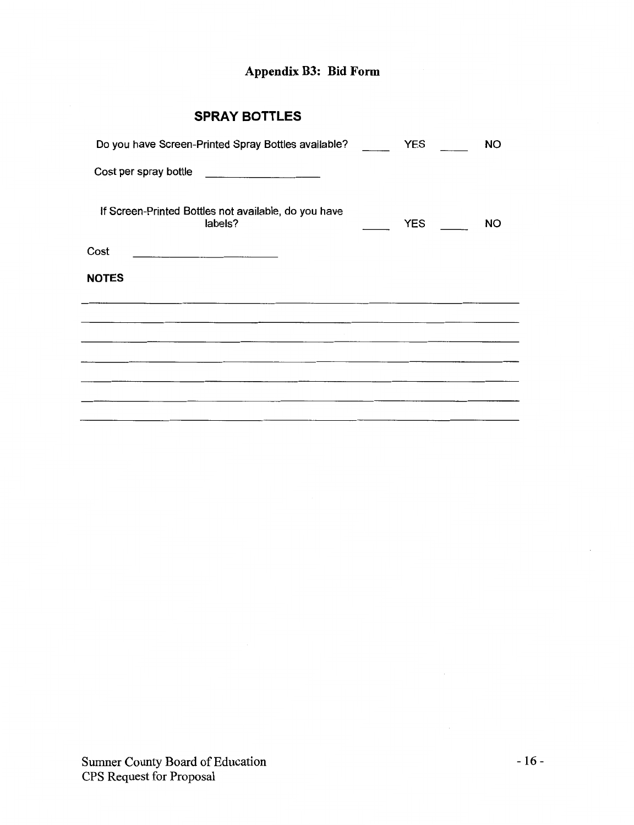## **Appendix B3: Bid Form**

## **SPRAY BOTTLES**

| Do you have Screen-Printed Spray Bottles available?             | <b>YES</b> | <b>NO</b> |
|-----------------------------------------------------------------|------------|-----------|
| Cost per spray bottle                                           |            |           |
| If Screen-Printed Bottles not available, do you have<br>labels? | <b>YES</b> | <b>NO</b> |
| Cost<br><u> 1989 - Johann John Stone, mars et al. (</u>         |            |           |
| <b>NOTES</b>                                                    |            |           |
|                                                                 |            |           |
|                                                                 |            |           |
|                                                                 |            |           |
|                                                                 |            |           |
|                                                                 |            |           |
|                                                                 |            |           |

l,

J.